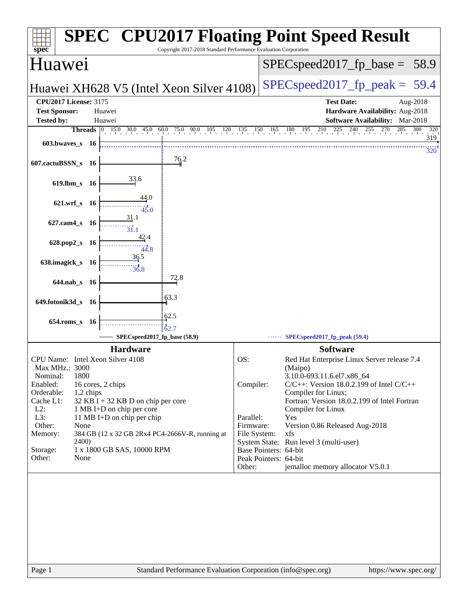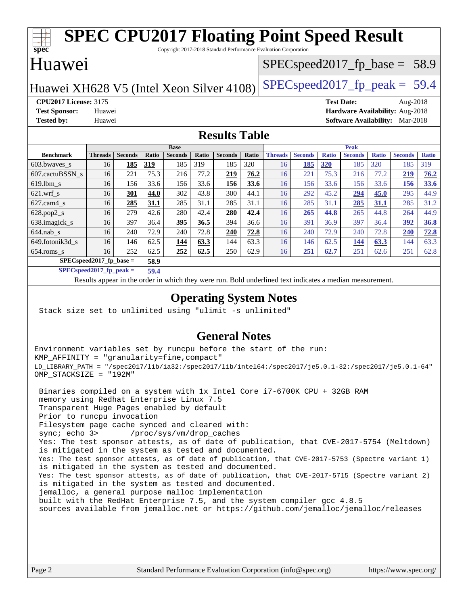#### **[spec](http://www.spec.org/) [SPEC CPU2017 Floating Point Speed Result](http://www.spec.org/auto/cpu2017/Docs/result-fields.html#SPECCPU2017FloatingPointSpeedResult)** Copyright 2017-2018 Standard Performance Evaluation Corporation Huawei Huawei XH628 V5 (Intel Xeon Silver  $4108$ ) [SPECspeed2017\\_fp\\_peak =](http://www.spec.org/auto/cpu2017/Docs/result-fields.html#SPECspeed2017fppeak) 59.4  $SPECspeed2017_fp\_base = 58.9$ **[CPU2017 License:](http://www.spec.org/auto/cpu2017/Docs/result-fields.html#CPU2017License)** 3175 **[Test Date:](http://www.spec.org/auto/cpu2017/Docs/result-fields.html#TestDate)** Aug-2018 **[Test Sponsor:](http://www.spec.org/auto/cpu2017/Docs/result-fields.html#TestSponsor)** Huawei **[Hardware Availability:](http://www.spec.org/auto/cpu2017/Docs/result-fields.html#HardwareAvailability)** Aug-2018 **[Tested by:](http://www.spec.org/auto/cpu2017/Docs/result-fields.html#Testedby)** Huawei **[Software Availability:](http://www.spec.org/auto/cpu2017/Docs/result-fields.html#SoftwareAvailability)** Mar-2018 **[Results Table](http://www.spec.org/auto/cpu2017/Docs/result-fields.html#ResultsTable) [Benchmark](http://www.spec.org/auto/cpu2017/Docs/result-fields.html#Benchmark) [Threads](http://www.spec.org/auto/cpu2017/Docs/result-fields.html#Threads) [Seconds](http://www.spec.org/auto/cpu2017/Docs/result-fields.html#Seconds) [Ratio](http://www.spec.org/auto/cpu2017/Docs/result-fields.html#Ratio) [Seconds](http://www.spec.org/auto/cpu2017/Docs/result-fields.html#Seconds) [Ratio](http://www.spec.org/auto/cpu2017/Docs/result-fields.html#Ratio) [Seconds](http://www.spec.org/auto/cpu2017/Docs/result-fields.html#Seconds) [Ratio](http://www.spec.org/auto/cpu2017/Docs/result-fields.html#Ratio) Base [Threads](http://www.spec.org/auto/cpu2017/Docs/result-fields.html#Threads) [Seconds](http://www.spec.org/auto/cpu2017/Docs/result-fields.html#Seconds) [Ratio](http://www.spec.org/auto/cpu2017/Docs/result-fields.html#Ratio) [Seconds](http://www.spec.org/auto/cpu2017/Docs/result-fields.html#Seconds) [Ratio](http://www.spec.org/auto/cpu2017/Docs/result-fields.html#Ratio) [Seconds](http://www.spec.org/auto/cpu2017/Docs/result-fields.html#Seconds) [Ratio](http://www.spec.org/auto/cpu2017/Docs/result-fields.html#Ratio) Peak** [603.bwaves\\_s](http://www.spec.org/auto/cpu2017/Docs/benchmarks/603.bwaves_s.html) 16 **[185](http://www.spec.org/auto/cpu2017/Docs/result-fields.html#Median) [319](http://www.spec.org/auto/cpu2017/Docs/result-fields.html#Median)** 185 319 185 320 16 **[185](http://www.spec.org/auto/cpu2017/Docs/result-fields.html#Median) [320](http://www.spec.org/auto/cpu2017/Docs/result-fields.html#Median)** 185 320 185 319 [607.cactuBSSN\\_s](http://www.spec.org/auto/cpu2017/Docs/benchmarks/607.cactuBSSN_s.html) 16 221 75.3 216 77.2 **[219](http://www.spec.org/auto/cpu2017/Docs/result-fields.html#Median) [76.2](http://www.spec.org/auto/cpu2017/Docs/result-fields.html#Median)** 16 221 75.3 216 77.2 **[219](http://www.spec.org/auto/cpu2017/Docs/result-fields.html#Median) [76.2](http://www.spec.org/auto/cpu2017/Docs/result-fields.html#Median)** [619.lbm\\_s](http://www.spec.org/auto/cpu2017/Docs/benchmarks/619.lbm_s.html) 16 156 33.6 156 33.6 **[156](http://www.spec.org/auto/cpu2017/Docs/result-fields.html#Median) [33.6](http://www.spec.org/auto/cpu2017/Docs/result-fields.html#Median)** 16 156 33.6 156 33.6 **[156](http://www.spec.org/auto/cpu2017/Docs/result-fields.html#Median) [33.6](http://www.spec.org/auto/cpu2017/Docs/result-fields.html#Median)** [621.wrf\\_s](http://www.spec.org/auto/cpu2017/Docs/benchmarks/621.wrf_s.html) 16 **[301](http://www.spec.org/auto/cpu2017/Docs/result-fields.html#Median) [44.0](http://www.spec.org/auto/cpu2017/Docs/result-fields.html#Median)** 302 43.8 300 44.1 16 292 45.2 **[294](http://www.spec.org/auto/cpu2017/Docs/result-fields.html#Median) [45.0](http://www.spec.org/auto/cpu2017/Docs/result-fields.html#Median)** 295 44.9 [627.cam4\\_s](http://www.spec.org/auto/cpu2017/Docs/benchmarks/627.cam4_s.html) 16 **[285](http://www.spec.org/auto/cpu2017/Docs/result-fields.html#Median) [31.1](http://www.spec.org/auto/cpu2017/Docs/result-fields.html#Median)** 285 31.1 285 31.1 16 285 31.1 **[285](http://www.spec.org/auto/cpu2017/Docs/result-fields.html#Median) [31.1](http://www.spec.org/auto/cpu2017/Docs/result-fields.html#Median)** 285 31.2 [628.pop2\\_s](http://www.spec.org/auto/cpu2017/Docs/benchmarks/628.pop2_s.html) 16 279 42.6 280 42.4 **[280](http://www.spec.org/auto/cpu2017/Docs/result-fields.html#Median) [42.4](http://www.spec.org/auto/cpu2017/Docs/result-fields.html#Median)** 16 **[265](http://www.spec.org/auto/cpu2017/Docs/result-fields.html#Median) [44.8](http://www.spec.org/auto/cpu2017/Docs/result-fields.html#Median)** 265 44.8 264 44.9 [638.imagick\\_s](http://www.spec.org/auto/cpu2017/Docs/benchmarks/638.imagick_s.html) 16 397 36.4 **[395](http://www.spec.org/auto/cpu2017/Docs/result-fields.html#Median) [36.5](http://www.spec.org/auto/cpu2017/Docs/result-fields.html#Median)** 394 36.6 16 391 36.9 397 36.4 **[392](http://www.spec.org/auto/cpu2017/Docs/result-fields.html#Median) [36.8](http://www.spec.org/auto/cpu2017/Docs/result-fields.html#Median)** [644.nab\\_s](http://www.spec.org/auto/cpu2017/Docs/benchmarks/644.nab_s.html) 16 240 72.9 240 72.8 **[240](http://www.spec.org/auto/cpu2017/Docs/result-fields.html#Median) [72.8](http://www.spec.org/auto/cpu2017/Docs/result-fields.html#Median)** 16 240 72.9 240 72.8 **[240](http://www.spec.org/auto/cpu2017/Docs/result-fields.html#Median) [72.8](http://www.spec.org/auto/cpu2017/Docs/result-fields.html#Median)** [649.fotonik3d\\_s](http://www.spec.org/auto/cpu2017/Docs/benchmarks/649.fotonik3d_s.html) 16 146 62.5 **[144](http://www.spec.org/auto/cpu2017/Docs/result-fields.html#Median) [63.3](http://www.spec.org/auto/cpu2017/Docs/result-fields.html#Median)** 144 63.3 16 146 62.5 **[144](http://www.spec.org/auto/cpu2017/Docs/result-fields.html#Median) [63.3](http://www.spec.org/auto/cpu2017/Docs/result-fields.html#Median)** 144 63.3 [654.roms\\_s](http://www.spec.org/auto/cpu2017/Docs/benchmarks/654.roms_s.html) 16 252 62.5 **[252](http://www.spec.org/auto/cpu2017/Docs/result-fields.html#Median) [62.5](http://www.spec.org/auto/cpu2017/Docs/result-fields.html#Median)** 250 62.9 16 **[251](http://www.spec.org/auto/cpu2017/Docs/result-fields.html#Median) [62.7](http://www.spec.org/auto/cpu2017/Docs/result-fields.html#Median)** 251 62.6 251 62.8 **[SPECspeed2017\\_fp\\_base =](http://www.spec.org/auto/cpu2017/Docs/result-fields.html#SPECspeed2017fpbase) 58.9**

**[SPECspeed2017\\_fp\\_peak =](http://www.spec.org/auto/cpu2017/Docs/result-fields.html#SPECspeed2017fppeak) 59.4**

Results appear in the [order in which they were run.](http://www.spec.org/auto/cpu2017/Docs/result-fields.html#RunOrder) Bold underlined text [indicates a median measurement](http://www.spec.org/auto/cpu2017/Docs/result-fields.html#Median).

### **[Operating System Notes](http://www.spec.org/auto/cpu2017/Docs/result-fields.html#OperatingSystemNotes)**

Stack size set to unlimited using "ulimit -s unlimited"

### **[General Notes](http://www.spec.org/auto/cpu2017/Docs/result-fields.html#GeneralNotes)**

Environment variables set by runcpu before the start of the run: KMP\_AFFINITY = "granularity=fine,compact" LD\_LIBRARY\_PATH = "/spec2017/lib/ia32:/spec2017/lib/intel64:/spec2017/je5.0.1-32:/spec2017/je5.0.1-64" OMP\_STACKSIZE = "192M"

 Binaries compiled on a system with 1x Intel Core i7-6700K CPU + 32GB RAM memory using Redhat Enterprise Linux 7.5 Transparent Huge Pages enabled by default Prior to runcpu invocation Filesystem page cache synced and cleared with: sync; echo 3> /proc/sys/vm/drop\_caches Yes: The test sponsor attests, as of date of publication, that CVE-2017-5754 (Meltdown) is mitigated in the system as tested and documented. Yes: The test sponsor attests, as of date of publication, that CVE-2017-5753 (Spectre variant 1) is mitigated in the system as tested and documented. Yes: The test sponsor attests, as of date of publication, that CVE-2017-5715 (Spectre variant 2) is mitigated in the system as tested and documented. jemalloc, a general purpose malloc implementation built with the RedHat Enterprise 7.5, and the system compiler gcc 4.8.5 sources available from jemalloc.net or <https://github.com/jemalloc/jemalloc/releases>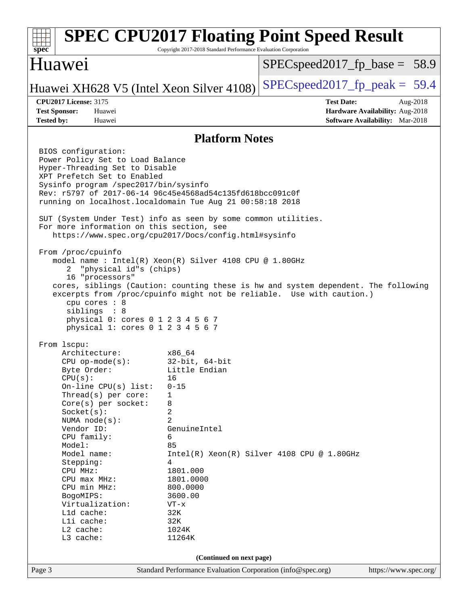| spec <sup>®</sup>                                                                                                                                                                                                                                                                                                                                                                                                                                                                                                                                                                                                                                                                                                                                                                                                               | Copyright 2017-2018 Standard Performance Evaluation Corporation                   | <b>SPEC CPU2017 Floating Point Speed Result</b>                                                                                                             |  |  |  |
|---------------------------------------------------------------------------------------------------------------------------------------------------------------------------------------------------------------------------------------------------------------------------------------------------------------------------------------------------------------------------------------------------------------------------------------------------------------------------------------------------------------------------------------------------------------------------------------------------------------------------------------------------------------------------------------------------------------------------------------------------------------------------------------------------------------------------------|-----------------------------------------------------------------------------------|-------------------------------------------------------------------------------------------------------------------------------------------------------------|--|--|--|
| <b>Huawei</b>                                                                                                                                                                                                                                                                                                                                                                                                                                                                                                                                                                                                                                                                                                                                                                                                                   |                                                                                   | $SPEC speed2017_f p\_base = 58.9$                                                                                                                           |  |  |  |
| Huawei XH628 V5 (Intel Xeon Silver 4108)                                                                                                                                                                                                                                                                                                                                                                                                                                                                                                                                                                                                                                                                                                                                                                                        |                                                                                   | $SPEC speed2017_fp\_peak = 59.4$                                                                                                                            |  |  |  |
| <b>CPU2017 License: 3175</b><br><b>Test Sponsor:</b><br>Huawei<br><b>Tested by:</b><br>Huawei                                                                                                                                                                                                                                                                                                                                                                                                                                                                                                                                                                                                                                                                                                                                   |                                                                                   | <b>Test Date:</b><br>Aug-2018<br>Hardware Availability: Aug-2018<br><b>Software Availability:</b> Mar-2018                                                  |  |  |  |
| <b>Platform Notes</b>                                                                                                                                                                                                                                                                                                                                                                                                                                                                                                                                                                                                                                                                                                                                                                                                           |                                                                                   |                                                                                                                                                             |  |  |  |
| BIOS configuration:<br>Power Policy Set to Load Balance<br>Hyper-Threading Set to Disable<br>XPT Prefetch Set to Enabled<br>Sysinfo program /spec2017/bin/sysinfo<br>Rev: r5797 of 2017-06-14 96c45e4568ad54c135fd618bcc091c0f<br>running on localhost.localdomain Tue Aug 21 00:58:18 2018<br>SUT (System Under Test) info as seen by some common utilities.<br>For more information on this section, see<br>https://www.spec.org/cpu2017/Docs/config.html#sysinfo<br>From /proc/cpuinfo<br>model name: $Intel(R)$ Xeon(R) Silver 4108 CPU @ 1.80GHz<br>"physical id"s (chips)<br>2<br>16 "processors"<br>cpu cores : 8<br>siblings : 8<br>physical 0: cores 0 1 2 3 4 5 6 7<br>physical 1: cores 0 1 2 3 4 5 6 7<br>From 1scpu:<br>Architecture:<br>$CPU$ op-mode( $s$ ):<br>Byte Order:<br>CPU(s):<br>On-line $CPU(s)$ list: | x86 64<br>$32$ -bit, $64$ -bit<br>Little Endian<br>16<br>$0 - 15$                 | cores, siblings (Caution: counting these is hw and system dependent. The following<br>excerpts from /proc/cpuinfo might not be reliable. Use with caution.) |  |  |  |
| Thread(s) per core:<br>Core(s) per socket:<br>Socket(s):                                                                                                                                                                                                                                                                                                                                                                                                                                                                                                                                                                                                                                                                                                                                                                        | 1<br>8<br>2                                                                       |                                                                                                                                                             |  |  |  |
| NUMA $node(s)$ :<br>Vendor ID:<br>CPU family:<br>Model:<br>Model name:<br>Stepping:<br>CPU MHz:<br>$CPU$ max $MHz$ :<br>CPU min MHz:<br>BogoMIPS:                                                                                                                                                                                                                                                                                                                                                                                                                                                                                                                                                                                                                                                                               | 2<br>GenuineIntel<br>6<br>85<br>4<br>1801.000<br>1801.0000<br>800.0000<br>3600.00 | $Intel(R) Xeon(R) Silver 4108 CPU @ 1.80GHz$                                                                                                                |  |  |  |
| Virtualization:<br>L1d cache:<br>Lli cache:<br>L2 cache:<br>L3 cache:                                                                                                                                                                                                                                                                                                                                                                                                                                                                                                                                                                                                                                                                                                                                                           | $VT - x$<br>32K<br>32K<br>1024K<br>11264K                                         |                                                                                                                                                             |  |  |  |
|                                                                                                                                                                                                                                                                                                                                                                                                                                                                                                                                                                                                                                                                                                                                                                                                                                 | (Continued on next page)                                                          |                                                                                                                                                             |  |  |  |
| Page 3                                                                                                                                                                                                                                                                                                                                                                                                                                                                                                                                                                                                                                                                                                                                                                                                                          | Standard Performance Evaluation Corporation (info@spec.org)                       | https://www.spec.org/                                                                                                                                       |  |  |  |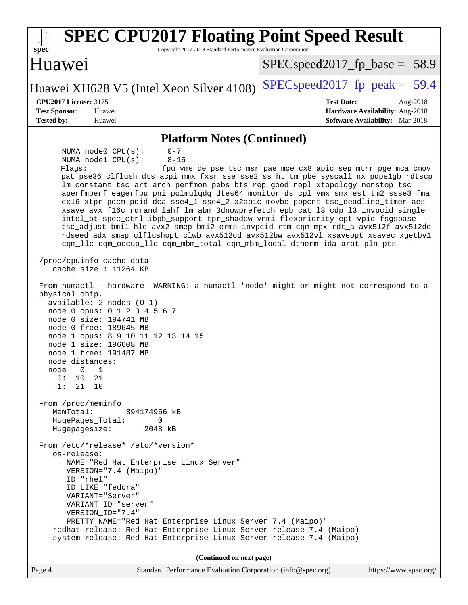| <b>SPEC CPU2017 Floating Point Speed Result</b><br>Copyright 2017-2018 Standard Performance Evaluation Corporation<br>spec <sup>®</sup>                                                                                                                                                                                                                                                                                                                                                                                                                                                                                                                                                                                                                                                                                                                                                                          |                                                                                                     |
|------------------------------------------------------------------------------------------------------------------------------------------------------------------------------------------------------------------------------------------------------------------------------------------------------------------------------------------------------------------------------------------------------------------------------------------------------------------------------------------------------------------------------------------------------------------------------------------------------------------------------------------------------------------------------------------------------------------------------------------------------------------------------------------------------------------------------------------------------------------------------------------------------------------|-----------------------------------------------------------------------------------------------------|
| Huawei                                                                                                                                                                                                                                                                                                                                                                                                                                                                                                                                                                                                                                                                                                                                                                                                                                                                                                           | $SPEC speed2017_f p\_base = 58.9$                                                                   |
| Huawei XH628 V5 (Intel Xeon Silver 4108)                                                                                                                                                                                                                                                                                                                                                                                                                                                                                                                                                                                                                                                                                                                                                                                                                                                                         | $SPEC speed2017fp peak = 59.4$                                                                      |
| <b>CPU2017 License: 3175</b><br><b>Test Sponsor:</b><br>Huawei<br><b>Tested by:</b><br>Huawei                                                                                                                                                                                                                                                                                                                                                                                                                                                                                                                                                                                                                                                                                                                                                                                                                    | <b>Test Date:</b><br>Aug-2018<br>Hardware Availability: Aug-2018<br>Software Availability: Mar-2018 |
| <b>Platform Notes (Continued)</b>                                                                                                                                                                                                                                                                                                                                                                                                                                                                                                                                                                                                                                                                                                                                                                                                                                                                                |                                                                                                     |
| NUMA node0 CPU(s):<br>$0 - 7$<br>NUMA nodel CPU(s):<br>$8 - 15$<br>Flaqs:<br>pat pse36 clflush dts acpi mmx fxsr sse sse2 ss ht tm pbe syscall nx pdpelgb rdtscp<br>lm constant_tsc art arch_perfmon pebs bts rep_good nopl xtopology nonstop_tsc<br>aperfmperf eagerfpu pni pclmulqdq dtes64 monitor ds_cpl vmx smx est tm2 ssse3 fma<br>cx16 xtpr pdcm pcid dca sse4_1 sse4_2 x2apic movbe popcnt tsc_deadline_timer aes<br>xsave avx f16c rdrand lahf_lm abm 3dnowprefetch epb cat_13 cdp_13 invpcid_single<br>intel_pt spec_ctrl ibpb_support tpr_shadow vnmi flexpriority ept vpid fsgsbase<br>tsc_adjust bmil hle avx2 smep bmi2 erms invpcid rtm cqm mpx rdt_a avx512f avx512dq<br>rdseed adx smap clflushopt clwb avx512cd avx512bw avx512vl xsaveopt xsavec xgetbvl<br>cqm_llc cqm_occup_llc cqm_mbm_total cqm_mbm_local dtherm ida arat pln pts<br>/proc/cpuinfo cache data<br>cache size : $11264$ KB | fpu vme de pse tsc msr pae mce cx8 apic sep mtrr pge mca cmov                                       |
| From numactl --hardware WARNING: a numactl 'node' might or might not correspond to a<br>physical chip.<br>$available: 2 nodes (0-1)$<br>node 0 cpus: 0 1 2 3 4 5 6 7<br>node 0 size: 194741 MB<br>node 0 free: 189645 MB<br>node 1 cpus: 8 9 10 11 12 13 14 15<br>node 1 size: 196608 MB<br>node 1 free: 191487 MB<br>node distances:<br>node 0 1<br>0 :<br>10<br>21<br>1:<br>21<br>10                                                                                                                                                                                                                                                                                                                                                                                                                                                                                                                           |                                                                                                     |
| From /proc/meminfo<br>MemTotal:<br>394174956 kB<br>HugePages_Total:<br>$\Omega$<br>2048 kB<br>Hugepagesize:                                                                                                                                                                                                                                                                                                                                                                                                                                                                                                                                                                                                                                                                                                                                                                                                      |                                                                                                     |
| From /etc/*release* /etc/*version*<br>os-release:<br>NAME="Red Hat Enterprise Linux Server"<br>VERSION="7.4 (Maipo)"<br>ID="rhel"<br>ID_LIKE="fedora"<br>VARIANT="Server"<br>VARIANT_ID="server"<br>VERSION_ID="7.4"<br>PRETTY_NAME="Red Hat Enterprise Linux Server 7.4 (Maipo)"<br>redhat-release: Red Hat Enterprise Linux Server release 7.4 (Maipo)<br>system-release: Red Hat Enterprise Linux Server release 7.4 (Maipo)                                                                                                                                                                                                                                                                                                                                                                                                                                                                                  |                                                                                                     |
| (Continued on next page)                                                                                                                                                                                                                                                                                                                                                                                                                                                                                                                                                                                                                                                                                                                                                                                                                                                                                         |                                                                                                     |
| Standard Performance Evaluation Corporation (info@spec.org)<br>Page 4                                                                                                                                                                                                                                                                                                                                                                                                                                                                                                                                                                                                                                                                                                                                                                                                                                            | https://www.spec.org/                                                                               |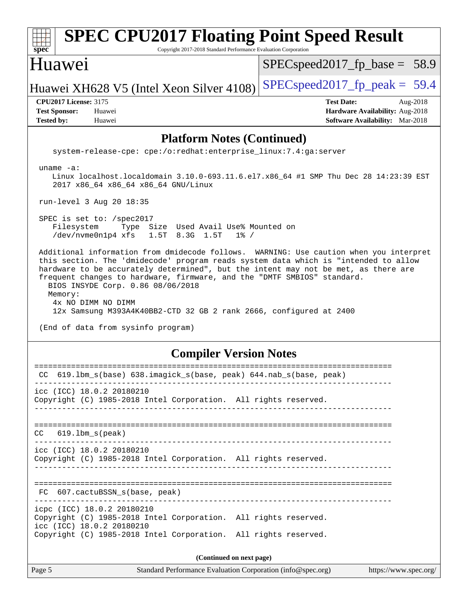| <b>SPEC CPU2017 Floating Point Speed Result</b><br>Copyright 2017-2018 Standard Performance Evaluation Corporation<br>$spec^*$                                                                                                                                                                                                                                                                                                                                                                                                   |                                                                                                            |  |  |  |  |
|----------------------------------------------------------------------------------------------------------------------------------------------------------------------------------------------------------------------------------------------------------------------------------------------------------------------------------------------------------------------------------------------------------------------------------------------------------------------------------------------------------------------------------|------------------------------------------------------------------------------------------------------------|--|--|--|--|
| Huawei                                                                                                                                                                                                                                                                                                                                                                                                                                                                                                                           | $SPEC speed2017_fp\_base = 58.9$                                                                           |  |  |  |  |
| Huawei XH628 V5 (Intel Xeon Silver 4108)                                                                                                                                                                                                                                                                                                                                                                                                                                                                                         | $SPEC speed2017_fp\_peak = 59.4$                                                                           |  |  |  |  |
| <b>CPU2017 License: 3175</b><br><b>Test Sponsor:</b><br>Huawei<br><b>Tested by:</b><br>Huawei                                                                                                                                                                                                                                                                                                                                                                                                                                    | <b>Test Date:</b><br>Aug-2018<br>Hardware Availability: Aug-2018<br><b>Software Availability:</b> Mar-2018 |  |  |  |  |
| <b>Platform Notes (Continued)</b>                                                                                                                                                                                                                                                                                                                                                                                                                                                                                                |                                                                                                            |  |  |  |  |
| system-release-cpe: cpe:/o:redhat:enterprise_linux:7.4:ga:server                                                                                                                                                                                                                                                                                                                                                                                                                                                                 |                                                                                                            |  |  |  |  |
| uname $-a$ :<br>Linux localhost.localdomain 3.10.0-693.11.6.el7.x86_64 #1 SMP Thu Dec 28 14:23:39 EST<br>2017 x86_64 x86_64 x86_64 GNU/Linux                                                                                                                                                                                                                                                                                                                                                                                     |                                                                                                            |  |  |  |  |
| run-level 3 Aug 20 18:35                                                                                                                                                                                                                                                                                                                                                                                                                                                                                                         |                                                                                                            |  |  |  |  |
| SPEC is set to: /spec2017<br>Filesystem<br>Type Size Used Avail Use% Mounted on<br>/dev/nvme0n1p4 xfs<br>1.5T 8.3G 1.5T<br>$1\%$ /                                                                                                                                                                                                                                                                                                                                                                                               |                                                                                                            |  |  |  |  |
| Additional information from dmidecode follows. WARNING: Use caution when you interpret<br>this section. The 'dmidecode' program reads system data which is "intended to allow<br>hardware to be accurately determined", but the intent may not be met, as there are<br>frequent changes to hardware, firmware, and the "DMTF SMBIOS" standard.<br>BIOS INSYDE Corp. 0.86 08/06/2018<br>Memory:<br>4x NO DIMM NO DIMM<br>12x Samsung M393A4K40BB2-CTD 32 GB 2 rank 2666, configured at 2400<br>(End of data from sysinfo program) |                                                                                                            |  |  |  |  |
| <b>Compiler Version Notes</b>                                                                                                                                                                                                                                                                                                                                                                                                                                                                                                    |                                                                                                            |  |  |  |  |
| CC 619.1bm_s(base) 638.imagick_s(base, peak) 644.nab_s(base, peak)                                                                                                                                                                                                                                                                                                                                                                                                                                                               |                                                                                                            |  |  |  |  |
| icc (ICC) 18.0.2 20180210<br>Copyright (C) 1985-2018 Intel Corporation. All rights reserved.                                                                                                                                                                                                                                                                                                                                                                                                                                     |                                                                                                            |  |  |  |  |
| $619.1$ bm_s(peak)<br>CC.<br>. List die List die List die List                                                                                                                                                                                                                                                                                                                                                                                                                                                                   |                                                                                                            |  |  |  |  |
| icc (ICC) 18.0.2 20180210<br>Copyright (C) 1985-2018 Intel Corporation. All rights reserved.                                                                                                                                                                                                                                                                                                                                                                                                                                     |                                                                                                            |  |  |  |  |
| FC 607.cactuBSSN_s(base, peak)                                                                                                                                                                                                                                                                                                                                                                                                                                                                                                   |                                                                                                            |  |  |  |  |
| icpc (ICC) 18.0.2 20180210<br>Copyright (C) 1985-2018 Intel Corporation. All rights reserved.<br>icc (ICC) 18.0.2 20180210                                                                                                                                                                                                                                                                                                                                                                                                       |                                                                                                            |  |  |  |  |
| Copyright (C) 1985-2018 Intel Corporation. All rights reserved.                                                                                                                                                                                                                                                                                                                                                                                                                                                                  |                                                                                                            |  |  |  |  |
| (Continued on next page)                                                                                                                                                                                                                                                                                                                                                                                                                                                                                                         |                                                                                                            |  |  |  |  |
| Page 5<br>Standard Performance Evaluation Corporation (info@spec.org)                                                                                                                                                                                                                                                                                                                                                                                                                                                            | https://www.spec.org/                                                                                      |  |  |  |  |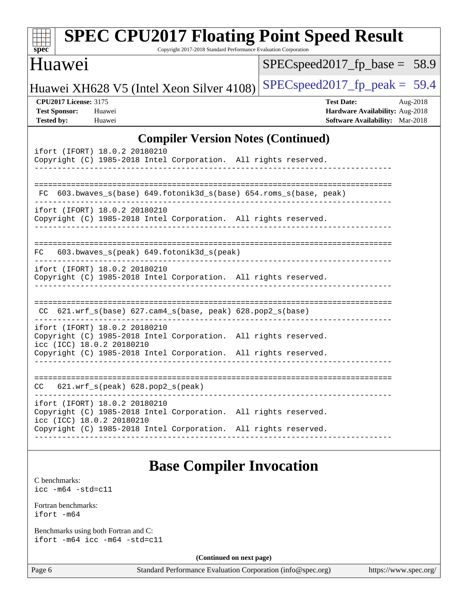| $\mathbf{Spec}^*$                                                         |                                                                      | <b>SPEC CPU2017 Floating Point Speed Result</b><br>Copyright 2017-2018 Standard Performance Evaluation Corporation |                                    |                                                                                                     |  |
|---------------------------------------------------------------------------|----------------------------------------------------------------------|--------------------------------------------------------------------------------------------------------------------|------------------------------------|-----------------------------------------------------------------------------------------------------|--|
| Huawei                                                                    |                                                                      |                                                                                                                    |                                    | $SPEC speed2017_fp\_base = 58.9$                                                                    |  |
|                                                                           |                                                                      | Huawei XH628 V5 (Intel Xeon Silver 4108)                                                                           |                                    | $SPEC speed2017fr peak = 59.4$                                                                      |  |
| <b>CPU2017 License: 3175</b><br><b>Test Sponsor:</b><br><b>Tested by:</b> | Huawei<br>Huawei                                                     |                                                                                                                    |                                    | <b>Test Date:</b><br>Aug-2018<br>Hardware Availability: Aug-2018<br>Software Availability: Mar-2018 |  |
| <b>Compiler Version Notes (Continued)</b>                                 |                                                                      |                                                                                                                    |                                    |                                                                                                     |  |
|                                                                           | ifort (IFORT) 18.0.2 20180210                                        | Copyright (C) 1985-2018 Intel Corporation. All rights reserved.                                                    |                                    |                                                                                                     |  |
|                                                                           |                                                                      | FC 603.bwaves_s(base) 649.fotonik3d_s(base) 654.roms_s(base, peak)                                                 |                                    |                                                                                                     |  |
|                                                                           | ifort (IFORT) 18.0.2 20180210                                        | Copyright (C) 1985-2018 Intel Corporation. All rights reserved.                                                    |                                    |                                                                                                     |  |
| FC.                                                                       | 603.bwaves_s(peak) 649.fotonik3d_s(peak)                             |                                                                                                                    | __________________________________ |                                                                                                     |  |
|                                                                           | ifort (IFORT) 18.0.2 20180210                                        | Copyright (C) 1985-2018 Intel Corporation. All rights reserved.                                                    |                                    |                                                                                                     |  |
|                                                                           |                                                                      | CC 621.wrf_s(base) 627.cam4_s(base, peak) 628.pop2_s(base)                                                         |                                    |                                                                                                     |  |
|                                                                           | ifort (IFORT) 18.0.2 20180210<br>icc (ICC) 18.0.2 20180210           | Copyright (C) 1985-2018 Intel Corporation. All rights reserved.                                                    |                                    |                                                                                                     |  |
|                                                                           |                                                                      | Copyright (C) 1985-2018 Intel Corporation. All rights reserved.                                                    |                                    |                                                                                                     |  |
| CC                                                                        | $621.wrf$ s(peak) $628.pop2$ s(peak)                                 |                                                                                                                    |                                    |                                                                                                     |  |
|                                                                           | ifort (IFORT) 18.0.2 20180210<br>icc (ICC) 18.0.2 20180210           | Copyright (C) 1985-2018 Intel Corporation. All rights reserved.                                                    |                                    |                                                                                                     |  |
|                                                                           |                                                                      | Copyright (C) 1985-2018 Intel Corporation. All rights reserved.                                                    |                                    |                                                                                                     |  |
|                                                                           |                                                                      | <b>Base Compiler Invocation</b>                                                                                    |                                    |                                                                                                     |  |
| C benchmarks:<br>$\text{icc}$ -m64 -std=c11                               |                                                                      |                                                                                                                    |                                    |                                                                                                     |  |
| Fortran benchmarks:<br>ifort -m64                                         |                                                                      |                                                                                                                    |                                    |                                                                                                     |  |
|                                                                           | Benchmarks using both Fortran and C:<br>ifort -m64 icc -m64 -std=c11 |                                                                                                                    |                                    |                                                                                                     |  |
| (Continued on next page)                                                  |                                                                      |                                                                                                                    |                                    |                                                                                                     |  |
| Page 6                                                                    |                                                                      | Standard Performance Evaluation Corporation (info@spec.org)                                                        |                                    | https://www.spec.org/                                                                               |  |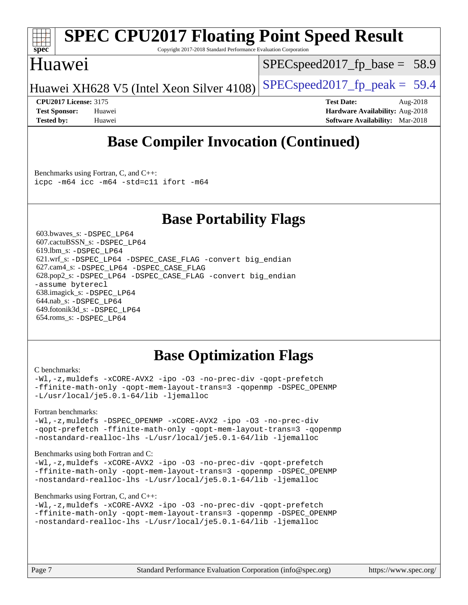

# **[SPEC CPU2017 Floating Point Speed Result](http://www.spec.org/auto/cpu2017/Docs/result-fields.html#SPECCPU2017FloatingPointSpeedResult)**

Copyright 2017-2018 Standard Performance Evaluation Corporation

### Huawei

 $SPECspeed2017_fp\_base = 58.9$ 

Huawei XH628 V5 (Intel Xeon Silver  $4108$ ) [SPECspeed2017\\_fp\\_peak =](http://www.spec.org/auto/cpu2017/Docs/result-fields.html#SPECspeed2017fppeak) 59.4

**[CPU2017 License:](http://www.spec.org/auto/cpu2017/Docs/result-fields.html#CPU2017License)** 3175 **[Test Date:](http://www.spec.org/auto/cpu2017/Docs/result-fields.html#TestDate)** Aug-2018 **[Test Sponsor:](http://www.spec.org/auto/cpu2017/Docs/result-fields.html#TestSponsor)** Huawei **[Hardware Availability:](http://www.spec.org/auto/cpu2017/Docs/result-fields.html#HardwareAvailability)** Aug-2018 **[Tested by:](http://www.spec.org/auto/cpu2017/Docs/result-fields.html#Testedby)** Huawei **[Software Availability:](http://www.spec.org/auto/cpu2017/Docs/result-fields.html#SoftwareAvailability)** Mar-2018

# **[Base Compiler Invocation \(Continued\)](http://www.spec.org/auto/cpu2017/Docs/result-fields.html#BaseCompilerInvocation)**

[Benchmarks using Fortran, C, and C++:](http://www.spec.org/auto/cpu2017/Docs/result-fields.html#BenchmarksusingFortranCandCXX) [icpc -m64](http://www.spec.org/cpu2017/results/res2018q4/cpu2017-20181008-09103.flags.html#user_CC_CXX_FCbase_intel_icpc_64bit_4ecb2543ae3f1412ef961e0650ca070fec7b7afdcd6ed48761b84423119d1bf6bdf5cad15b44d48e7256388bc77273b966e5eb805aefd121eb22e9299b2ec9d9) [icc -m64 -std=c11](http://www.spec.org/cpu2017/results/res2018q4/cpu2017-20181008-09103.flags.html#user_CC_CXX_FCbase_intel_icc_64bit_c11_33ee0cdaae7deeeab2a9725423ba97205ce30f63b9926c2519791662299b76a0318f32ddfffdc46587804de3178b4f9328c46fa7c2b0cd779d7a61945c91cd35) [ifort -m64](http://www.spec.org/cpu2017/results/res2018q4/cpu2017-20181008-09103.flags.html#user_CC_CXX_FCbase_intel_ifort_64bit_24f2bb282fbaeffd6157abe4f878425411749daecae9a33200eee2bee2fe76f3b89351d69a8130dd5949958ce389cf37ff59a95e7a40d588e8d3a57e0c3fd751)

### **[Base Portability Flags](http://www.spec.org/auto/cpu2017/Docs/result-fields.html#BasePortabilityFlags)**

 603.bwaves\_s: [-DSPEC\\_LP64](http://www.spec.org/cpu2017/results/res2018q4/cpu2017-20181008-09103.flags.html#suite_basePORTABILITY603_bwaves_s_DSPEC_LP64) 607.cactuBSSN\_s: [-DSPEC\\_LP64](http://www.spec.org/cpu2017/results/res2018q4/cpu2017-20181008-09103.flags.html#suite_basePORTABILITY607_cactuBSSN_s_DSPEC_LP64) 619.lbm\_s: [-DSPEC\\_LP64](http://www.spec.org/cpu2017/results/res2018q4/cpu2017-20181008-09103.flags.html#suite_basePORTABILITY619_lbm_s_DSPEC_LP64) 621.wrf\_s: [-DSPEC\\_LP64](http://www.spec.org/cpu2017/results/res2018q4/cpu2017-20181008-09103.flags.html#suite_basePORTABILITY621_wrf_s_DSPEC_LP64) [-DSPEC\\_CASE\\_FLAG](http://www.spec.org/cpu2017/results/res2018q4/cpu2017-20181008-09103.flags.html#b621.wrf_s_baseCPORTABILITY_DSPEC_CASE_FLAG) [-convert big\\_endian](http://www.spec.org/cpu2017/results/res2018q4/cpu2017-20181008-09103.flags.html#user_baseFPORTABILITY621_wrf_s_convert_big_endian_c3194028bc08c63ac5d04de18c48ce6d347e4e562e8892b8bdbdc0214820426deb8554edfa529a3fb25a586e65a3d812c835984020483e7e73212c4d31a38223) 627.cam4\_s: [-DSPEC\\_LP64](http://www.spec.org/cpu2017/results/res2018q4/cpu2017-20181008-09103.flags.html#suite_basePORTABILITY627_cam4_s_DSPEC_LP64) [-DSPEC\\_CASE\\_FLAG](http://www.spec.org/cpu2017/results/res2018q4/cpu2017-20181008-09103.flags.html#b627.cam4_s_baseCPORTABILITY_DSPEC_CASE_FLAG) 628.pop2\_s: [-DSPEC\\_LP64](http://www.spec.org/cpu2017/results/res2018q4/cpu2017-20181008-09103.flags.html#suite_basePORTABILITY628_pop2_s_DSPEC_LP64) [-DSPEC\\_CASE\\_FLAG](http://www.spec.org/cpu2017/results/res2018q4/cpu2017-20181008-09103.flags.html#b628.pop2_s_baseCPORTABILITY_DSPEC_CASE_FLAG) [-convert big\\_endian](http://www.spec.org/cpu2017/results/res2018q4/cpu2017-20181008-09103.flags.html#user_baseFPORTABILITY628_pop2_s_convert_big_endian_c3194028bc08c63ac5d04de18c48ce6d347e4e562e8892b8bdbdc0214820426deb8554edfa529a3fb25a586e65a3d812c835984020483e7e73212c4d31a38223) [-assume byterecl](http://www.spec.org/cpu2017/results/res2018q4/cpu2017-20181008-09103.flags.html#user_baseFPORTABILITY628_pop2_s_assume_byterecl_7e47d18b9513cf18525430bbf0f2177aa9bf368bc7a059c09b2c06a34b53bd3447c950d3f8d6c70e3faf3a05c8557d66a5798b567902e8849adc142926523472) 638.imagick\_s: [-DSPEC\\_LP64](http://www.spec.org/cpu2017/results/res2018q4/cpu2017-20181008-09103.flags.html#suite_basePORTABILITY638_imagick_s_DSPEC_LP64) 644.nab\_s: [-DSPEC\\_LP64](http://www.spec.org/cpu2017/results/res2018q4/cpu2017-20181008-09103.flags.html#suite_basePORTABILITY644_nab_s_DSPEC_LP64) 649.fotonik3d\_s: [-DSPEC\\_LP64](http://www.spec.org/cpu2017/results/res2018q4/cpu2017-20181008-09103.flags.html#suite_basePORTABILITY649_fotonik3d_s_DSPEC_LP64) 654.roms\_s: [-DSPEC\\_LP64](http://www.spec.org/cpu2017/results/res2018q4/cpu2017-20181008-09103.flags.html#suite_basePORTABILITY654_roms_s_DSPEC_LP64)

## **[Base Optimization Flags](http://www.spec.org/auto/cpu2017/Docs/result-fields.html#BaseOptimizationFlags)**

#### [C benchmarks](http://www.spec.org/auto/cpu2017/Docs/result-fields.html#Cbenchmarks):

[-Wl,-z,muldefs](http://www.spec.org/cpu2017/results/res2018q4/cpu2017-20181008-09103.flags.html#user_CCbase_link_force_multiple1_b4cbdb97b34bdee9ceefcfe54f4c8ea74255f0b02a4b23e853cdb0e18eb4525ac79b5a88067c842dd0ee6996c24547a27a4b99331201badda8798ef8a743f577) [-xCORE-AVX2](http://www.spec.org/cpu2017/results/res2018q4/cpu2017-20181008-09103.flags.html#user_CCbase_f-xCORE-AVX2) [-ipo](http://www.spec.org/cpu2017/results/res2018q4/cpu2017-20181008-09103.flags.html#user_CCbase_f-ipo) [-O3](http://www.spec.org/cpu2017/results/res2018q4/cpu2017-20181008-09103.flags.html#user_CCbase_f-O3) [-no-prec-div](http://www.spec.org/cpu2017/results/res2018q4/cpu2017-20181008-09103.flags.html#user_CCbase_f-no-prec-div) [-qopt-prefetch](http://www.spec.org/cpu2017/results/res2018q4/cpu2017-20181008-09103.flags.html#user_CCbase_f-qopt-prefetch) [-ffinite-math-only](http://www.spec.org/cpu2017/results/res2018q4/cpu2017-20181008-09103.flags.html#user_CCbase_f_finite_math_only_cb91587bd2077682c4b38af759c288ed7c732db004271a9512da14a4f8007909a5f1427ecbf1a0fb78ff2a814402c6114ac565ca162485bbcae155b5e4258871) [-qopt-mem-layout-trans=3](http://www.spec.org/cpu2017/results/res2018q4/cpu2017-20181008-09103.flags.html#user_CCbase_f-qopt-mem-layout-trans_de80db37974c74b1f0e20d883f0b675c88c3b01e9d123adea9b28688d64333345fb62bc4a798493513fdb68f60282f9a726aa07f478b2f7113531aecce732043) [-qopenmp](http://www.spec.org/cpu2017/results/res2018q4/cpu2017-20181008-09103.flags.html#user_CCbase_qopenmp_16be0c44f24f464004c6784a7acb94aca937f053568ce72f94b139a11c7c168634a55f6653758ddd83bcf7b8463e8028bb0b48b77bcddc6b78d5d95bb1df2967) [-DSPEC\\_OPENMP](http://www.spec.org/cpu2017/results/res2018q4/cpu2017-20181008-09103.flags.html#suite_CCbase_DSPEC_OPENMP) [-L/usr/local/je5.0.1-64/lib](http://www.spec.org/cpu2017/results/res2018q4/cpu2017-20181008-09103.flags.html#user_CCbase_jemalloc_link_path64_4b10a636b7bce113509b17f3bd0d6226c5fb2346b9178c2d0232c14f04ab830f976640479e5c33dc2bcbbdad86ecfb6634cbbd4418746f06f368b512fced5394) [-ljemalloc](http://www.spec.org/cpu2017/results/res2018q4/cpu2017-20181008-09103.flags.html#user_CCbase_jemalloc_link_lib_d1249b907c500fa1c0672f44f562e3d0f79738ae9e3c4a9c376d49f265a04b9c99b167ecedbf6711b3085be911c67ff61f150a17b3472be731631ba4d0471706)

#### [Fortran benchmarks](http://www.spec.org/auto/cpu2017/Docs/result-fields.html#Fortranbenchmarks):

[-Wl,-z,muldefs](http://www.spec.org/cpu2017/results/res2018q4/cpu2017-20181008-09103.flags.html#user_FCbase_link_force_multiple1_b4cbdb97b34bdee9ceefcfe54f4c8ea74255f0b02a4b23e853cdb0e18eb4525ac79b5a88067c842dd0ee6996c24547a27a4b99331201badda8798ef8a743f577) -DSPEC OPENMP [-xCORE-AVX2](http://www.spec.org/cpu2017/results/res2018q4/cpu2017-20181008-09103.flags.html#user_FCbase_f-xCORE-AVX2) [-ipo](http://www.spec.org/cpu2017/results/res2018q4/cpu2017-20181008-09103.flags.html#user_FCbase_f-ipo) [-O3](http://www.spec.org/cpu2017/results/res2018q4/cpu2017-20181008-09103.flags.html#user_FCbase_f-O3) [-no-prec-div](http://www.spec.org/cpu2017/results/res2018q4/cpu2017-20181008-09103.flags.html#user_FCbase_f-no-prec-div) [-qopt-prefetch](http://www.spec.org/cpu2017/results/res2018q4/cpu2017-20181008-09103.flags.html#user_FCbase_f-qopt-prefetch) [-ffinite-math-only](http://www.spec.org/cpu2017/results/res2018q4/cpu2017-20181008-09103.flags.html#user_FCbase_f_finite_math_only_cb91587bd2077682c4b38af759c288ed7c732db004271a9512da14a4f8007909a5f1427ecbf1a0fb78ff2a814402c6114ac565ca162485bbcae155b5e4258871) [-qopt-mem-layout-trans=3](http://www.spec.org/cpu2017/results/res2018q4/cpu2017-20181008-09103.flags.html#user_FCbase_f-qopt-mem-layout-trans_de80db37974c74b1f0e20d883f0b675c88c3b01e9d123adea9b28688d64333345fb62bc4a798493513fdb68f60282f9a726aa07f478b2f7113531aecce732043) [-qopenmp](http://www.spec.org/cpu2017/results/res2018q4/cpu2017-20181008-09103.flags.html#user_FCbase_qopenmp_16be0c44f24f464004c6784a7acb94aca937f053568ce72f94b139a11c7c168634a55f6653758ddd83bcf7b8463e8028bb0b48b77bcddc6b78d5d95bb1df2967) [-nostandard-realloc-lhs](http://www.spec.org/cpu2017/results/res2018q4/cpu2017-20181008-09103.flags.html#user_FCbase_f_2003_std_realloc_82b4557e90729c0f113870c07e44d33d6f5a304b4f63d4c15d2d0f1fab99f5daaed73bdb9275d9ae411527f28b936061aa8b9c8f2d63842963b95c9dd6426b8a) [-L/usr/local/je5.0.1-64/lib](http://www.spec.org/cpu2017/results/res2018q4/cpu2017-20181008-09103.flags.html#user_FCbase_jemalloc_link_path64_4b10a636b7bce113509b17f3bd0d6226c5fb2346b9178c2d0232c14f04ab830f976640479e5c33dc2bcbbdad86ecfb6634cbbd4418746f06f368b512fced5394) [-ljemalloc](http://www.spec.org/cpu2017/results/res2018q4/cpu2017-20181008-09103.flags.html#user_FCbase_jemalloc_link_lib_d1249b907c500fa1c0672f44f562e3d0f79738ae9e3c4a9c376d49f265a04b9c99b167ecedbf6711b3085be911c67ff61f150a17b3472be731631ba4d0471706)

#### [Benchmarks using both Fortran and C](http://www.spec.org/auto/cpu2017/Docs/result-fields.html#BenchmarksusingbothFortranandC):

[-Wl,-z,muldefs](http://www.spec.org/cpu2017/results/res2018q4/cpu2017-20181008-09103.flags.html#user_CC_FCbase_link_force_multiple1_b4cbdb97b34bdee9ceefcfe54f4c8ea74255f0b02a4b23e853cdb0e18eb4525ac79b5a88067c842dd0ee6996c24547a27a4b99331201badda8798ef8a743f577) [-xCORE-AVX2](http://www.spec.org/cpu2017/results/res2018q4/cpu2017-20181008-09103.flags.html#user_CC_FCbase_f-xCORE-AVX2) [-ipo](http://www.spec.org/cpu2017/results/res2018q4/cpu2017-20181008-09103.flags.html#user_CC_FCbase_f-ipo) [-O3](http://www.spec.org/cpu2017/results/res2018q4/cpu2017-20181008-09103.flags.html#user_CC_FCbase_f-O3) [-no-prec-div](http://www.spec.org/cpu2017/results/res2018q4/cpu2017-20181008-09103.flags.html#user_CC_FCbase_f-no-prec-div) [-qopt-prefetch](http://www.spec.org/cpu2017/results/res2018q4/cpu2017-20181008-09103.flags.html#user_CC_FCbase_f-qopt-prefetch) [-ffinite-math-only](http://www.spec.org/cpu2017/results/res2018q4/cpu2017-20181008-09103.flags.html#user_CC_FCbase_f_finite_math_only_cb91587bd2077682c4b38af759c288ed7c732db004271a9512da14a4f8007909a5f1427ecbf1a0fb78ff2a814402c6114ac565ca162485bbcae155b5e4258871) [-qopt-mem-layout-trans=3](http://www.spec.org/cpu2017/results/res2018q4/cpu2017-20181008-09103.flags.html#user_CC_FCbase_f-qopt-mem-layout-trans_de80db37974c74b1f0e20d883f0b675c88c3b01e9d123adea9b28688d64333345fb62bc4a798493513fdb68f60282f9a726aa07f478b2f7113531aecce732043) [-qopenmp](http://www.spec.org/cpu2017/results/res2018q4/cpu2017-20181008-09103.flags.html#user_CC_FCbase_qopenmp_16be0c44f24f464004c6784a7acb94aca937f053568ce72f94b139a11c7c168634a55f6653758ddd83bcf7b8463e8028bb0b48b77bcddc6b78d5d95bb1df2967) [-DSPEC\\_OPENMP](http://www.spec.org/cpu2017/results/res2018q4/cpu2017-20181008-09103.flags.html#suite_CC_FCbase_DSPEC_OPENMP) [-nostandard-realloc-lhs](http://www.spec.org/cpu2017/results/res2018q4/cpu2017-20181008-09103.flags.html#user_CC_FCbase_f_2003_std_realloc_82b4557e90729c0f113870c07e44d33d6f5a304b4f63d4c15d2d0f1fab99f5daaed73bdb9275d9ae411527f28b936061aa8b9c8f2d63842963b95c9dd6426b8a) [-L/usr/local/je5.0.1-64/lib](http://www.spec.org/cpu2017/results/res2018q4/cpu2017-20181008-09103.flags.html#user_CC_FCbase_jemalloc_link_path64_4b10a636b7bce113509b17f3bd0d6226c5fb2346b9178c2d0232c14f04ab830f976640479e5c33dc2bcbbdad86ecfb6634cbbd4418746f06f368b512fced5394) [-ljemalloc](http://www.spec.org/cpu2017/results/res2018q4/cpu2017-20181008-09103.flags.html#user_CC_FCbase_jemalloc_link_lib_d1249b907c500fa1c0672f44f562e3d0f79738ae9e3c4a9c376d49f265a04b9c99b167ecedbf6711b3085be911c67ff61f150a17b3472be731631ba4d0471706)

#### [Benchmarks using Fortran, C, and C++:](http://www.spec.org/auto/cpu2017/Docs/result-fields.html#BenchmarksusingFortranCandCXX)

```
-Wl,-z,muldefs -xCORE-AVX2 -ipo -O3 -no-prec-div -qopt-prefetch
-ffinite-math-only -qopt-mem-layout-trans=3 -qopenmp -DSPEC_OPENMP
-nostandard-realloc-lhs -L/usr/local/je5.0.1-64/lib -ljemalloc
```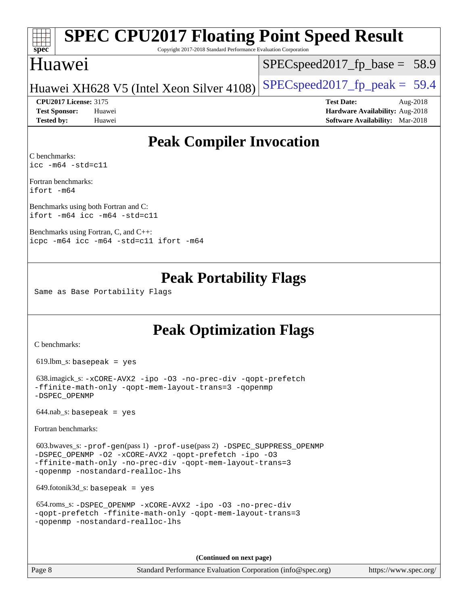#### **[spec](http://www.spec.org/) [SPEC CPU2017 Floating Point Speed Result](http://www.spec.org/auto/cpu2017/Docs/result-fields.html#SPECCPU2017FloatingPointSpeedResult)** Copyright 2017-2018 Standard Performance Evaluation Corporation Huawei Huawei XH628 V5 (Intel Xeon Silver  $4108$ ) [SPECspeed2017\\_fp\\_peak =](http://www.spec.org/auto/cpu2017/Docs/result-fields.html#SPECspeed2017fppeak) 59.4  $SPECspeed2017_fp\_base = 58.9$ **[CPU2017 License:](http://www.spec.org/auto/cpu2017/Docs/result-fields.html#CPU2017License)** 3175 **[Test Date:](http://www.spec.org/auto/cpu2017/Docs/result-fields.html#TestDate)** Aug-2018 **[Test Sponsor:](http://www.spec.org/auto/cpu2017/Docs/result-fields.html#TestSponsor)** Huawei **[Hardware Availability:](http://www.spec.org/auto/cpu2017/Docs/result-fields.html#HardwareAvailability)** Aug-2018

## **[Peak Compiler Invocation](http://www.spec.org/auto/cpu2017/Docs/result-fields.html#PeakCompilerInvocation)**

**[Tested by:](http://www.spec.org/auto/cpu2017/Docs/result-fields.html#Testedby)** Huawei **[Software Availability:](http://www.spec.org/auto/cpu2017/Docs/result-fields.html#SoftwareAvailability)** Mar-2018

[C benchmarks](http://www.spec.org/auto/cpu2017/Docs/result-fields.html#Cbenchmarks): [icc -m64 -std=c11](http://www.spec.org/cpu2017/results/res2018q4/cpu2017-20181008-09103.flags.html#user_CCpeak_intel_icc_64bit_c11_33ee0cdaae7deeeab2a9725423ba97205ce30f63b9926c2519791662299b76a0318f32ddfffdc46587804de3178b4f9328c46fa7c2b0cd779d7a61945c91cd35)

[Fortran benchmarks:](http://www.spec.org/auto/cpu2017/Docs/result-fields.html#Fortranbenchmarks) [ifort -m64](http://www.spec.org/cpu2017/results/res2018q4/cpu2017-20181008-09103.flags.html#user_FCpeak_intel_ifort_64bit_24f2bb282fbaeffd6157abe4f878425411749daecae9a33200eee2bee2fe76f3b89351d69a8130dd5949958ce389cf37ff59a95e7a40d588e8d3a57e0c3fd751)

[Benchmarks using both Fortran and C](http://www.spec.org/auto/cpu2017/Docs/result-fields.html#BenchmarksusingbothFortranandC): [ifort -m64](http://www.spec.org/cpu2017/results/res2018q4/cpu2017-20181008-09103.flags.html#user_CC_FCpeak_intel_ifort_64bit_24f2bb282fbaeffd6157abe4f878425411749daecae9a33200eee2bee2fe76f3b89351d69a8130dd5949958ce389cf37ff59a95e7a40d588e8d3a57e0c3fd751) [icc -m64 -std=c11](http://www.spec.org/cpu2017/results/res2018q4/cpu2017-20181008-09103.flags.html#user_CC_FCpeak_intel_icc_64bit_c11_33ee0cdaae7deeeab2a9725423ba97205ce30f63b9926c2519791662299b76a0318f32ddfffdc46587804de3178b4f9328c46fa7c2b0cd779d7a61945c91cd35)

[Benchmarks using Fortran, C, and C++](http://www.spec.org/auto/cpu2017/Docs/result-fields.html#BenchmarksusingFortranCandCXX): [icpc -m64](http://www.spec.org/cpu2017/results/res2018q4/cpu2017-20181008-09103.flags.html#user_CC_CXX_FCpeak_intel_icpc_64bit_4ecb2543ae3f1412ef961e0650ca070fec7b7afdcd6ed48761b84423119d1bf6bdf5cad15b44d48e7256388bc77273b966e5eb805aefd121eb22e9299b2ec9d9) [icc -m64 -std=c11](http://www.spec.org/cpu2017/results/res2018q4/cpu2017-20181008-09103.flags.html#user_CC_CXX_FCpeak_intel_icc_64bit_c11_33ee0cdaae7deeeab2a9725423ba97205ce30f63b9926c2519791662299b76a0318f32ddfffdc46587804de3178b4f9328c46fa7c2b0cd779d7a61945c91cd35) [ifort -m64](http://www.spec.org/cpu2017/results/res2018q4/cpu2017-20181008-09103.flags.html#user_CC_CXX_FCpeak_intel_ifort_64bit_24f2bb282fbaeffd6157abe4f878425411749daecae9a33200eee2bee2fe76f3b89351d69a8130dd5949958ce389cf37ff59a95e7a40d588e8d3a57e0c3fd751)

### **[Peak Portability Flags](http://www.spec.org/auto/cpu2017/Docs/result-fields.html#PeakPortabilityFlags)**

Same as Base Portability Flags

### **[Peak Optimization Flags](http://www.spec.org/auto/cpu2017/Docs/result-fields.html#PeakOptimizationFlags)**

[C benchmarks](http://www.spec.org/auto/cpu2017/Docs/result-fields.html#Cbenchmarks):

619.lbm\_s: basepeak = yes

```
 638.imagick_s: -xCORE-AVX2 -ipo -O3 -no-prec-div -qopt-prefetch
-ffinite-math-only -qopt-mem-layout-trans=3 -qopenmp
-DSPEC_OPENMP
```
 $644.nab$ <sub>S</sub>: basepeak = yes

[Fortran benchmarks](http://www.spec.org/auto/cpu2017/Docs/result-fields.html#Fortranbenchmarks):

```
 603.bwaves_s: -prof-gen(pass 1) -prof-use(pass 2) -DSPEC_SUPPRESS_OPENMP
-DSPEC_OPENMP -O2 -xCORE-AVX2 -qopt-prefetch -ipo -O3
-ffinite-math-only -no-prec-div -qopt-mem-layout-trans=3
-qopenmp -nostandard-realloc-lhs
```
649.fotonik3d\_s: basepeak = yes

```
 654.roms_s: -DSPEC_OPENMP -xCORE-AVX2 -ipo -O3 -no-prec-div
-qopt-prefetch -ffinite-math-only -qopt-mem-layout-trans=3
-qopenmp -nostandard-realloc-lhs
```
**(Continued on next page)**